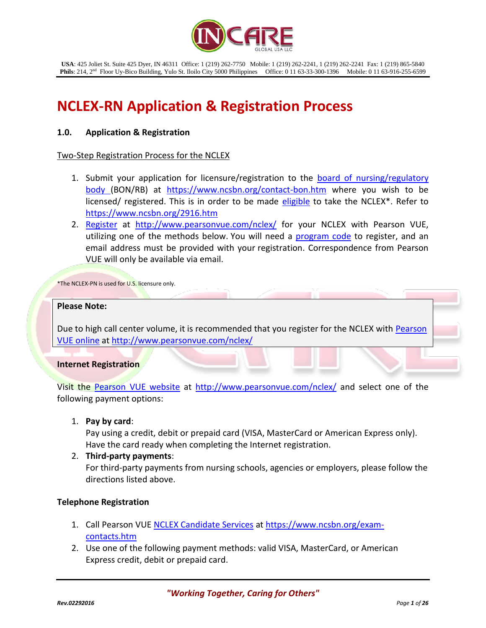

# **NCLEX-RN Application & Registration Process**

## **1.0. Application & Registration**

## Two-Step Registration Process for the NCLEX

- 1. Submit your application for licensure/registration to the **board of nursing/regulatory** [body \(](http://www.ncsbn.org/contact-bon.htm)BON/RB) at <https://www.ncsbn.org/contact-bon.htm> where you wish to be licensed/ registered. This is in order to be made [eligible](https://www.ncsbn.org/2916.htm) to take the NCLEX\*. Refer to <https://www.ncsbn.org/2916.htm>
- 2. [Register](http://www.pearsonvue.com/nclex/) at <http://www.pearsonvue.com/nclex/> for your NCLEX with Pearson VUE, utilizing one of the methods below. You will need a [program code](https://www.ncsbn.org/NCLEX_Educational_Program_Codes.pdf) to register, and an email address must be provided with your registration. Correspondence from Pearson VUE will only be available via email.

\*The NCLEX-PN is used for U.S. licensure only.

#### **Please Note:**

Due to high call center volume, it is recommended that you register for the NCLEX with Pearson [VUE online](http://www.pearsonvue.com/nclex) a[t http://www.pearsonvue.com/nclex/](http://www.pearsonvue.com/nclex/)

#### **Internet Registration**

Visit the [Pearson VUE website](http://www.pearsonvue.com/nclex/) at<http://www.pearsonvue.com/nclex/> and select one of the following payment options:

1. **Pay by card**:

Pay using a credit, debit or prepaid card (VISA, MasterCard or American Express only). Have the card ready when completing the Internet registration.

2. **Third-party payments**:

For third-party payments from nursing schools, agencies or employers, please follow the directions listed above.

## **Telephone Registration**

- 1. Call Pearson VU[E NCLEX Candidate Services](https://www.ncsbn.org/exam-contacts.htm) a[t https://www.ncsbn.org/exam](https://www.ncsbn.org/exam-contacts.htm)[contacts.htm](https://www.ncsbn.org/exam-contacts.htm)
- 2. Use one of the following payment methods: valid VISA, MasterCard, or American Express credit, debit or prepaid card.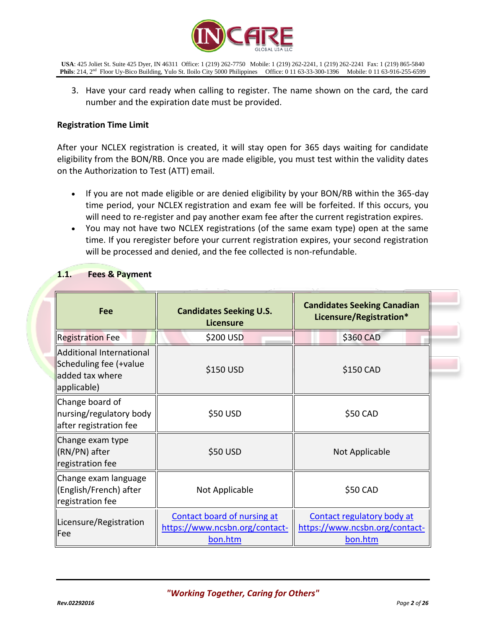

3. Have your card ready when calling to register. The name shown on the card, the card number and the expiration date must be provided.

## **Registration Time Limit**

After your NCLEX registration is created, it will stay open for 365 days waiting for candidate eligibility from the BON/RB. Once you are made eligible, you must test within the validity dates on the Authorization to Test (ATT) email.

- If you are not made eligible or are denied eligibility by your BON/RB within the 365-day time period, your NCLEX registration and exam fee will be forfeited. If this occurs, you will need to re-register and pay another exam fee after the current registration expires.
- You may not have two NCLEX registrations (of the same exam type) open at the same time. If you reregister before your current registration expires, your second registration will be processed and denied, and the fee collected is non-refundable.

| Fee                                                                                  | <b>Candidates Seeking U.S.</b><br><b>Licensure</b>                       | <b>Candidates Seeking Canadian</b><br>Licensure/Registration*           |  |  |
|--------------------------------------------------------------------------------------|--------------------------------------------------------------------------|-------------------------------------------------------------------------|--|--|
| <b>Registration Fee</b>                                                              | \$200 USD                                                                | \$360 CAD                                                               |  |  |
| Additional International<br>Scheduling fee (+value<br>added tax where<br>applicable) | \$150 USD                                                                | \$150 CAD                                                               |  |  |
| Change board of<br>nursing/regulatory body<br>after registration fee                 | \$50 USD                                                                 | \$50 CAD                                                                |  |  |
| Change exam type<br>KRN/PN) after<br>registration fee                                | \$50 USD                                                                 | Not Applicable                                                          |  |  |
| Change exam language<br>  (English/French) after<br>registration fee                 | Not Applicable                                                           | \$50 CAD                                                                |  |  |
| Licensure/Registration<br>Fee                                                        | Contact board of nursing at<br>https://www.ncsbn.org/contact-<br>bon.htm | Contact regulatory body at<br>https://www.ncsbn.org/contact-<br>bon.htm |  |  |

## **1.1. Fees & Payment**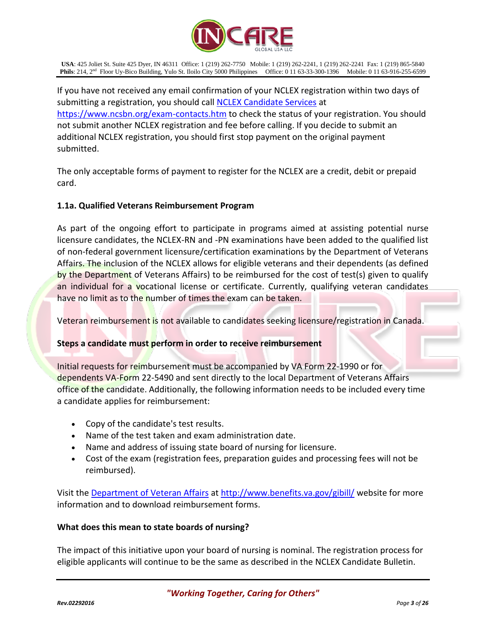

If you have not received any email confirmation of your NCLEX registration within two days of submitting a registration, you should call [NCLEX Candidate Services](https://www.ncsbn.org/exam-contacts.htm) at <https://www.ncsbn.org/exam-contacts.htm> to check the status of your registration. You should not submit another NCLEX registration and fee before calling. If you decide to submit an additional NCLEX registration, you should first stop payment on the original payment submitted.

The only acceptable forms of payment to register for the NCLEX are a credit, debit or prepaid card.

## **1.1a. Qualified Veterans Reimbursement Program**

As part of the ongoing effort to participate in programs aimed at assisting potential nurse licensure candidates, the NCLEX-RN and -PN examinations have been added to the qualified list of non-federal government licensure/certification examinations by the Department of Veterans Affairs. The inclusion of the NCLEX allows for eligible veterans and their dependents (as defined by the Department of Veterans Affairs) to be reimbursed for the cost of test(s) given to qualify an individual for a vocational license or certificate. Currently, qualifying veteran candidates have no limit as to the number of times the exam can be taken.

Veteran reimbursement is not available to candidates seeking licensure/registration in Canada.

## **Steps a candidate must perform in order to receive reimbursement**

Initial requests for reimbursement must be accompanied by VA Form 22-1990 or for dependents VA-Form 22-5490 and sent directly to the local Department of Veterans Affairs office of the candidate. Additionally, the following information needs to be included every time a candidate applies for reimbursement:

- Copy of the candidate's test results.
- Name of the test taken and exam administration date.
- Name and address of issuing state board of nursing for licensure.
- Cost of the exam (registration fees, preparation guides and processing fees will not be reimbursed).

Visit the [Department of Veteran Affairs](http://www.gibill.va.gov/) at<http://www.benefits.va.gov/gibill/> website for more information and to download reimbursement forms.

## **What does this mean to state boards of nursing?**

The impact of this initiative upon your board of nursing is nominal. The registration process for eligible applicants will continue to be the same as described in the NCLEX Candidate Bulletin.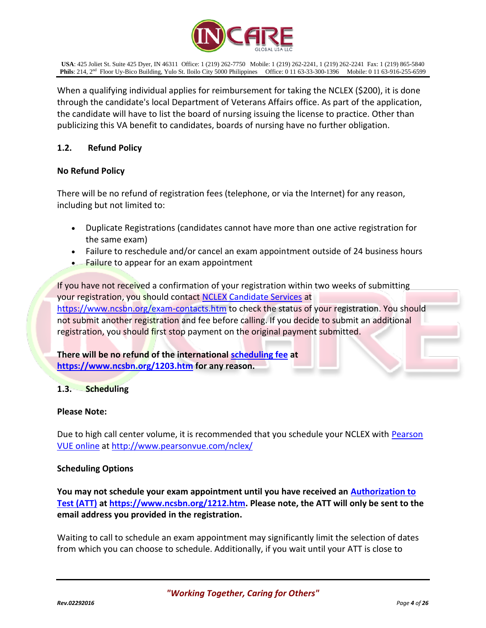

When a qualifying individual applies for reimbursement for taking the NCLEX (\$200), it is done through the candidate's local Department of Veterans Affairs office. As part of the application, the candidate will have to list the board of nursing issuing the license to practice. Other than publicizing this VA benefit to candidates, boards of nursing have no further obligation.

## **1.2. Refund Policy**

## **No Refund Policy**

There will be no refund of registration fees (telephone, or via the Internet) for any reason, including but not limited to:

- Duplicate Registrations (candidates cannot have more than one active registration for the same exam)
- Failure to reschedule and/or cancel an exam appointment outside of 24 business hours
- Failure to appear for an exam appointment

If you have not received a confirmation of your registration within two weeks of submitting your registration, you should contact [NCLEX Candidate Services](https://www.ncsbn.org/exam-contacts.htm) at <https://www.ncsbn.org/exam-contacts.htm> to check the status of your registration. You should not submit another registration and fee before calling. If you decide to submit an additional registration, you should first stop payment on the original payment submitted.

**There will be no refund of the international [scheduling fee](https://www.ncsbn.org/1203.htm) at <https://www.ncsbn.org/1203.htm> for any reason.**

## **1.3. Scheduling**

## **Please Note:**

Due to high call center volume, it is recommended that you schedule your NCLEX with **Pearson** [VUE online](http://www.pearsonvue.com/nclex) a[t http://www.pearsonvue.com/nclex/](http://www.pearsonvue.com/nclex/)

## **Scheduling Options**

**You may not schedule your exam appointment until you have received an [Authorization to](https://www.ncsbn.org/1212.htm)  [Test \(ATT\)](https://www.ncsbn.org/1212.htm) at [https://www.ncsbn.org/1212.htm.](https://www.ncsbn.org/1212.htm) Please note, the ATT will only be sent to the email address you provided in the registration.**

Waiting to call to schedule an exam appointment may significantly limit the selection of dates from which you can choose to schedule. Additionally, if you wait until your ATT is close to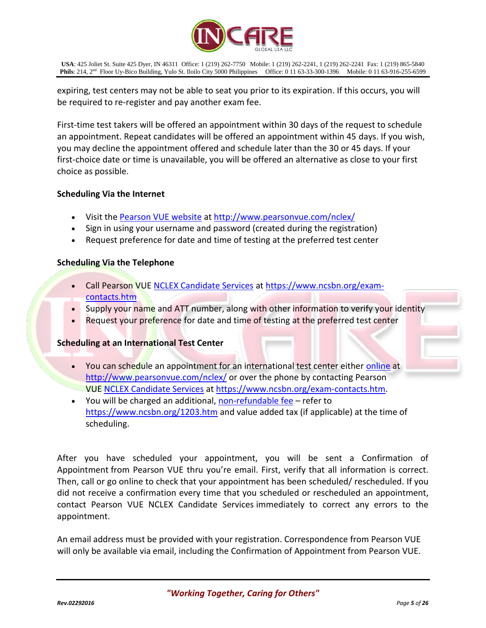

expiring, test centers may not be able to seat you prior to its expiration. If this occurs, you will be required to re-register and pay another exam fee.

First-time test takers will be offered an appointment within 30 days of the request to schedule an appointment. Repeat candidates will be offered an appointment within 45 days. If you wish, you may decline the appointment offered and schedule later than the 30 or 45 days. If your first-choice date or time is unavailable, you will be offered an alternative as close to your first choice as possible.

## **Scheduling Via the Internet**

- Visit th[e Pearson VUE website](http://www.pearsonvue.com/nclex/) at<http://www.pearsonvue.com/nclex/>
- Sign in using your username and password (created during the registration)
- Request preference for date and time of testing at the preferred test center

## **Scheduling Via the Telephone**

- Call Pearson VU[E NCLEX Candidate Services](https://www.ncsbn.org/exam-contacts.htm) a[t https://www.ncsbn.org/exam](https://www.ncsbn.org/exam-contacts.htm)[contacts.htm](https://www.ncsbn.org/exam-contacts.htm)
- Supply your name and ATT number, along with other information to verify your identity
- Request your preference for date and time of testing at the preferred test center

## **Scheduling at an International Test Center**

- You can schedule an appointment for an international test center either [online](http://www.pearsonvue.com/nclex/) at <http://www.pearsonvue.com/nclex/> or over the phone by contacting Pearson VUE [NCLEX Candidate Services](https://www.ncsbn.org/exam-contacts.htm) at [https://www.ncsbn.org/exam-contacts.htm.](https://www.ncsbn.org/exam-contacts.htm)
- You will be charged an additional, [non-refundable fee](https://www.ncsbn.org/1203.htm) refer to <https://www.ncsbn.org/1203.htm> and value added tax (if applicable) at the time of scheduling.

After you have scheduled your appointment, you will be sent a Confirmation of Appointment from Pearson VUE thru you're email. First, verify that all information is correct. Then, call or go online to check that your appointment has been scheduled/ rescheduled. If you did not receive a confirmation every time that you scheduled or rescheduled an appointment, contact Pearson VUE NCLEX Candidate Services immediately to correct any errors to the appointment.

An email address must be provided with your registration. Correspondence from Pearson VUE will only be available via email, including the Confirmation of Appointment from Pearson VUE.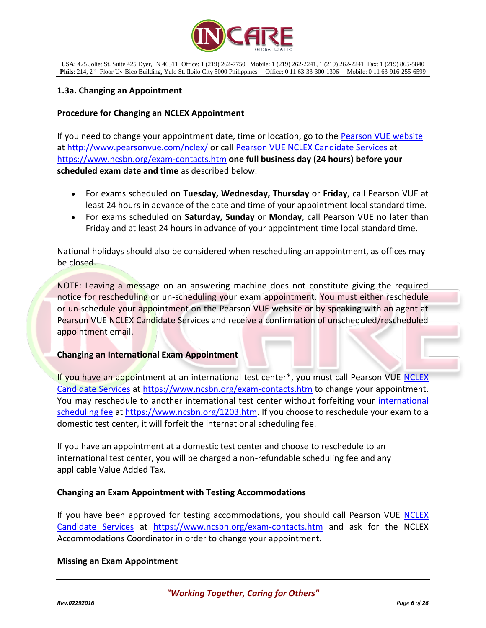

## **1.3a. Changing an Appointment**

## **Procedure for Changing an NCLEX Appointment**

If you need to change your appointment date, time or location, go to the [Pearson VUE website](http://www.pearsonvue.com/nclex/) at<http://www.pearsonvue.com/nclex/> or call [Pearson VUE NCLEX Candidate Services](https://www.ncsbn.org/exam-contacts.htm) at <https://www.ncsbn.org/exam-contacts.htm> **one full business day (24 hours) before your scheduled exam date and time** as described below:

- For exams scheduled on **Tuesday, Wednesday, Thursday** or **Friday**, call Pearson VUE at least 24 hours in advance of the date and time of your appointment local standard time.
- For exams scheduled on **Saturday, Sunday** or **Monday**, call Pearson VUE no later than Friday and at least 24 hours in advance of your appointment time local standard time.

National holidays should also be considered when rescheduling an appointment, as offices may be closed.

NOTE: Leaving a message on an answering machine does not constitute giving the required notice for rescheduling or un-scheduling your exam appointment. You must either reschedule or un-schedule your appointment on the Pearson VUE website or by speaking with an agent at Pearson VUE NCLEX Candidate Services and receive a confirmation of unscheduled/rescheduled appointment email.

## **Changing an International Exam Appointment**

If you have an appointment at an international test center\*, you must call Pearson VUE NCLEX [Candidate Services](https://www.ncsbn.org/exam-contacts.htm) at<https://www.ncsbn.org/exam-contacts.htm> to change your appointment. You may reschedule to another [international](https://www.ncsbn.org/1203.htm) test center without forfeiting your *international* [scheduling fee](https://www.ncsbn.org/1203.htm) a[t https://www.ncsbn.org/1203.htm.](https://www.ncsbn.org/1203.htm) If you choose to reschedule your exam to a domestic test center, it will forfeit the international scheduling fee.

If you have an appointment at a domestic test center and choose to reschedule to an international test center, you will be charged a non-refundable scheduling fee and any applicable Value Added Tax.

## **Changing an Exam Appointment with Testing Accommodations**

If you have been approved for testing accommodations, you should call Pearson VUE [NCLEX](https://www.ncsbn.org/exam-contacts.htm)  [Candidate Services](https://www.ncsbn.org/exam-contacts.htm) at <https://www.ncsbn.org/exam-contacts.htm> and ask for the NCLEX Accommodations Coordinator in order to change your appointment.

## **Missing an Exam Appointment**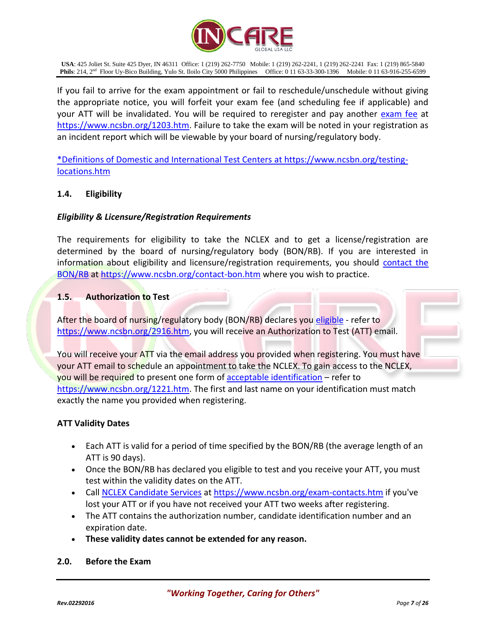

If you fail to arrive for the exam appointment or fail to reschedule/unschedule without giving the appropriate notice, you will forfeit your exam fee (and scheduling fee if applicable) and your ATT will be invalidated. You will be required to reregister and pay another [exam fee](https://www.ncsbn.org/1203.htm) at [https://www.ncsbn.org/1203.htm.](https://www.ncsbn.org/1203.htm) Failure to take the exam will be noted in your registration as an incident report which will be viewable by your board of nursing/regulatory body.

[\\*Definitions of Domestic and International Test Centers](https://www.ncsbn.org/testing-locations.htm) at https://www.ncsbn.org/testinglocations.htm

## **1.4. Eligibility**

## *Eligibility & Licensure/Registration Requirements*

The requirements for eligibility to take the NCLEX and to get a license/registration are determined by the board of nursing/regulatory body (BON/RB). If you are interested in information about eligibility and licensure/registration requirements, you should [contact the](https://www.ncsbn.org/contact-bon.htm)  [BON/RB](https://www.ncsbn.org/contact-bon.htm) at<https://www.ncsbn.org/contact-bon.htm> where you wish to practice.

#### **1.5. Authorization to Test**

After the board of nursing/regulatory body (BON/RB) declares you [eligible](https://www.ncsbn.org/2916.htm) - refer to [https://www.ncsbn.org/2916.htm,](https://www.ncsbn.org/2916.htm) you will receive an Authorization to Test (ATT) email.

You will receive your ATT via the email address you provided when registering. You must have your ATT email to schedule an appointment to take the NCLEX. To gain access to the NCLEX, you will be required to present one form o[f acceptable identification](https://www.ncsbn.org/1221.htm) – refer to [https://www.ncsbn.org/1221.htm.](https://www.ncsbn.org/1221.htm) The first and last name on your identification must match exactly the name you provided when registering.

## **ATT Validity Dates**

- Each ATT is valid for a period of time specified by the BON/RB (the average length of an ATT is 90 days).
- Once the BON/RB has declared you eligible to test and you receive your ATT, you must test within the validity dates on the ATT.
- Call [NCLEX Candidate Services](https://www.ncsbn.org/exam-contacts.htm) at<https://www.ncsbn.org/exam-contacts.htm> if you've lost your ATT or if you have not received your ATT two weeks after registering.
- The ATT contains the authorization number, candidate identification number and an expiration date.
- **These validity dates cannot be extended for any reason.**

## **2.0. Before the Exam**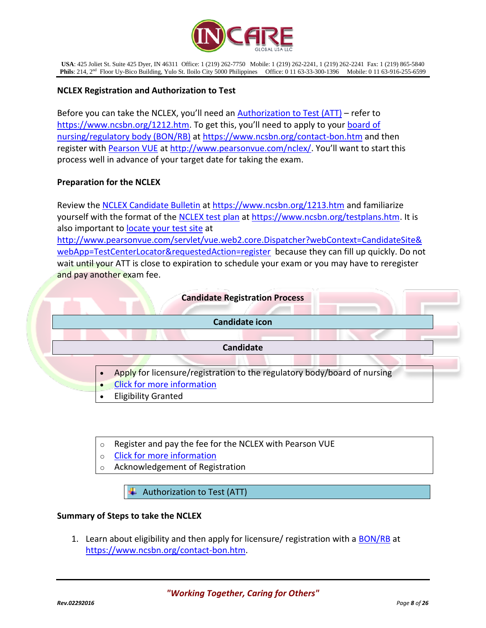

## **NCLEX Registration and Authorization to Test**

Before you can take the NCLEX, you'll need an **[Authorization to Test \(ATT\)](https://www.ncsbn.org/1212.htm)** – refer to <https://www.ncsbn.org/1212.htm>. To get this, you'll need to apply to your [board of](https://www.ncsbn.org/contact-bon.htm)  [nursing/regulatory body \(BON/RB\)](https://www.ncsbn.org/contact-bon.htm) at<https://www.ncsbn.org/contact-bon.htm> and then register with [Pearson VUE](http://www.pearsonvue.com/nclex/) at<http://www.pearsonvue.com/nclex/>. You'll want to start this process well in advance of your target date for taking the exam.

## **Preparation for the NCLEX**

Review the [NCLEX Candidate Bulletin](https://www.ncsbn.org/1213.htm) at<https://www.ncsbn.org/1213.htm> and familiarize yourself with the format of the [NCLEX test plan](https://www.ncsbn.org/testplans.htm) at [https://www.ncsbn.org/testplans.htm.](https://www.ncsbn.org/testplans.htm) It is also important to [locate your test site](http://www.pearsonvue.com/servlet/vue.web2.core.Dispatcher?webContext=CandidateSite&webApp=TestCenterLocator&requestedAction=register) at

[http://www.pearsonvue.com/servlet/vue.web2.core.Dispatcher?webContext=CandidateSite&](http://www.pearsonvue.com/servlet/vue.web2.core.Dispatcher?webContext=CandidateSite&webApp=TestCenterLocator&requestedAction=register) [webApp=TestCenterLocator&requestedAction=register](http://www.pearsonvue.com/servlet/vue.web2.core.Dispatcher?webContext=CandidateSite&webApp=TestCenterLocator&requestedAction=register) because they can fill up quickly. Do not wait until your ATT is close to expiration to schedule your exam or you may have to reregister and pay another exam fee.



- o Register and pay the fee for the NCLEX with Pearson VUE
- o [Click for more information](https://www.ncsbn.org/1202.htm)
- Acknowledgement of Registration

 $\overline{\text{+}}$  Authorization to Test (ATT)

## **Summary of Steps to take the NCLEX**

1. Learn about eligibility and then apply for licensure/ registration with a [BON/RB](https://www.ncsbn.org/contact-bon.htm) at [https://www.ncsbn.org/contact-bon.htm.](https://www.ncsbn.org/contact-bon.htm)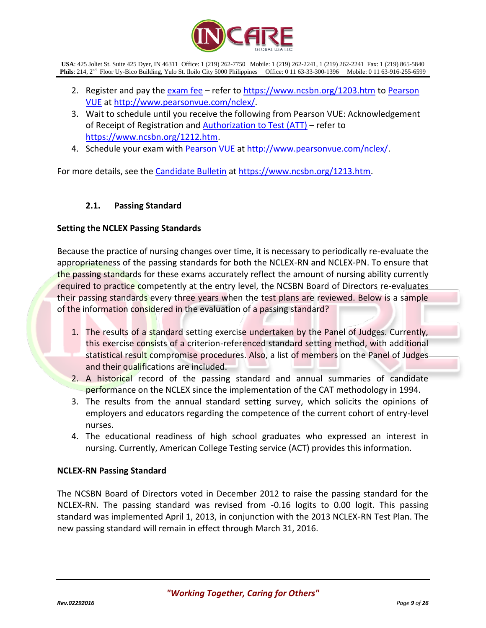

- 2. Register and pay th[e exam fee](https://www.ncsbn.org/1203.htm) refer t[o https://www.ncsbn.org/1203.htm](https://www.ncsbn.org/1203.htm) to [Pearson](http://www.pearsonvue.com/nclex/)  [VUE](http://www.pearsonvue.com/nclex/) at [http://www.pearsonvue.com/nclex/.](http://www.pearsonvue.com/nclex/)
- 3. Wait to schedule until you receive the following from Pearson VUE: Acknowledgement of Receipt of Registration and  $\Delta$ uthorization to Test  $(ATT)$  – refer to [https://www.ncsbn.org/1212.htm.](https://www.ncsbn.org/1212.htm)
- 4. Schedule your exam with [Pearson VUE](http://www.pearsonvue.com/nclex/) at [http://www.pearsonvue.com/nclex/.](http://www.pearsonvue.com/nclex/)

For more details, see the [Candidate Bulletin](https://www.ncsbn.org/1213.htm) a[t https://www.ncsbn.org/1213.htm.](https://www.ncsbn.org/1213.htm)

## **2.1. Passing Standard**

## **Setting the NCLEX Passing Standards**

Because the practice of nursing changes over time, it is necessary to periodically re-evaluate the appropriateness of the passing standards for both the NCLEX-RN and NCLEX-PN. To ensure that the passing standards for these exams accurately reflect the amount of nursing ability currently required to practice competently at the entry level, the NCSBN Board of Directors re-evaluates their passing standards every three years when the test plans are reviewed. Below is a sample of the information considered in the evaluation of a passing standard?

- 1. The results of a standard setting exercise undertaken by the Panel of Judges. Currently, this exercise consists of a criterion-referenced standard setting method, with additional statistical result compromise procedures. Also, a list of members on the Panel of Judges and their qualifications are included.
- 2. A historical record of the passing standard and annual summaries of candidate performance on the NCLEX since the implementation of the CAT methodology in 1994.
- 3. The results from the annual standard setting survey, which solicits the opinions of employers and educators regarding the competence of the current cohort of entry-level nurses.
- 4. The educational readiness of high school graduates who expressed an interest in nursing. Currently, American College Testing service (ACT) provides this information.

## **NCLEX-RN Passing Standard**

The NCSBN Board of Directors voted in December 2012 to raise the passing standard for the NCLEX-RN. The passing standard was revised from -0.16 logits to 0.00 logit. This passing standard was implemented April 1, 2013, in conjunction with the 2013 NCLEX-RN Test Plan. The new passing standard will remain in effect through March 31, 2016.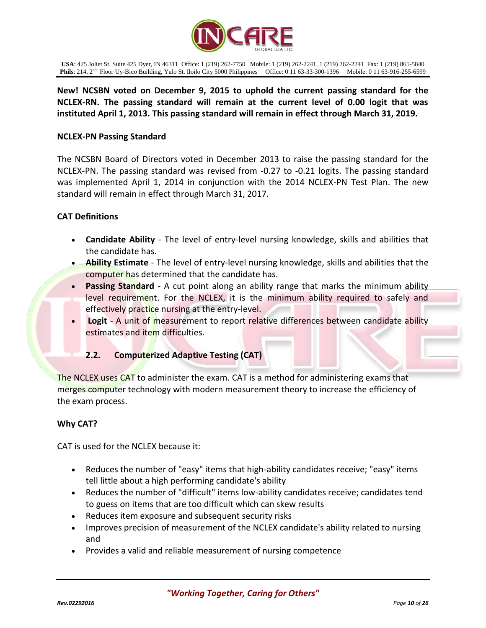

**New! NCSBN voted on December 9, 2015 to uphold the current passing standard for the NCLEX-RN. The passing standard will remain at the current level of 0.00 logit that was instituted April 1, 2013. This passing standard will remain in effect through March 31, 2019.**

## **NCLEX-PN Passing Standard**

The NCSBN Board of Directors voted in December 2013 to raise the passing standard for the NCLEX-PN. The passing standard was revised from -0.27 to -0.21 logits. The passing standard was implemented April 1, 2014 in conjunction with the 2014 NCLEX-PN Test Plan. The new standard will remain in effect through March 31, 2017.

#### **CAT Definitions**

- **Candidate Ability** The level of entry-level nursing knowledge, skills and abilities that the candidate has.
- **Ability Estimate** The level of entry-level nursing knowledge, skills and abilities that the computer has determined that the candidate has.
- **Passing Standard** A cut point along an ability range that marks the minimum ability level requirement. For the NCLEX, it is the minimum ability required to safely and effectively practice nursing at the entry-level.
- **Logit** A unit of measurement to report relative differences between candidate ability estimates and item difficulties.

## **2.2. Computerized Adaptive Testing (CAT)**

The NCLEX uses CAT to administer the exam. CAT is a method for administering exams that merges computer technology with modern measurement theory to increase the efficiency of the exam process.

## **Why CAT?**

CAT is used for the NCLEX because it:

- Reduces the number of "easy" items that high-ability candidates receive; "easy" items tell little about a high performing candidate's ability
- Reduces the number of "difficult" items low-ability candidates receive; candidates tend to guess on items that are too difficult which can skew results
- Reduces item exposure and subsequent security risks
- Improves precision of measurement of the NCLEX candidate's ability related to nursing and
- Provides a valid and reliable measurement of nursing competence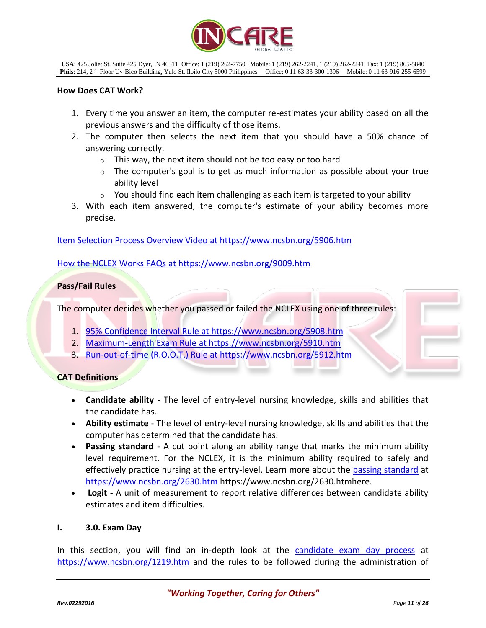

#### **How Does CAT Work?**

- 1. Every time you answer an item, the computer re-estimates your ability based on all the previous answers and the difficulty of those items.
- 2. The computer then selects the next item that you should have a 50% chance of answering correctly.
	- $\circ$  This way, the next item should not be too easy or too hard
	- $\circ$  The computer's goal is to get as much information as possible about your true ability level
	- $\circ$  You should find each item challenging as each item is targeted to your ability
- 3. With each item answered, the computer's estimate of your ability becomes more precise.

[Item Selection Process Overview Video](https://www.ncsbn.org/5906.htm) at https://www.ncsbn.org/5906.htm

[How the NCLEX Works FAQs](https://www.ncsbn.org/9009.htm) at https://www.ncsbn.org/9009.htm

## **Pass/Fail Rules**

The computer decides whether you passed or failed the NCLEX using one of three rules:

- 1. [95% Confidence Interval Rule](https://www.ncsbn.org/5908.htm) at https://www.ncsbn.org/5908.htm
- 2. [Maximum-Length Exam Rule](https://www.ncsbn.org/5910.htm) at https://www.ncsbn.org/5910.htm
- 3. [Run-out-of-time \(R.O.O.T.\) Rule](https://www.ncsbn.org/5912.htm) at https://www.ncsbn.org/5912.htm

## **CAT Definitions**

- **Candidate ability** The level of entry-level nursing knowledge, skills and abilities that the candidate has.
- **Ability estimate** The level of entry-level nursing knowledge, skills and abilities that the computer has determined that the candidate has.
- **Passing standard** A cut point along an ability range that marks the minimum ability level requirement. For the NCLEX, it is the minimum ability required to safely and effectively practice nursing at the entry-level. Learn more about the [passing standard](https://www.ncsbn.org/2630.htm) at <https://www.ncsbn.org/2630.htm> https://www.ncsbn.org/2630.htmhere.
- **Logit** A unit of measurement to report relative differences between candidate ability estimates and item difficulties.

## **I. 3.0. Exam Day**

In this section, you will find an in-depth look at the [candidate exam day process](https://www.ncsbn.org/1219.htm) at <https://www.ncsbn.org/1219.htm> and the rules to be followed during the administration of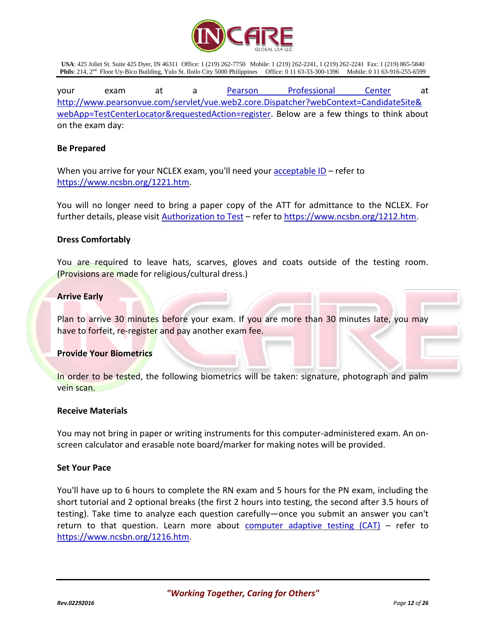

your exam at a <u>[Pearson Professional Center](http://www.pearsonvue.com/servlet/vue.web2.core.Dispatcher?webContext=CandidateSite&webApp=TestCenterLocator&requestedAction=register)</u> at [http://www.pearsonvue.com/servlet/vue.web2.core.Dispatcher?webContext=CandidateSite&](http://www.pearsonvue.com/servlet/vue.web2.core.Dispatcher?webContext=CandidateSite&webApp=TestCenterLocator&requestedAction=register) [webApp=TestCenterLocator&requestedAction=register.](http://www.pearsonvue.com/servlet/vue.web2.core.Dispatcher?webContext=CandidateSite&webApp=TestCenterLocator&requestedAction=register) Below are a few things to think about on the exam day:

#### **Be Prepared**

When you arrive for your NCLEX exam, you'll need your [acceptable ID](https://www.ncsbn.org/1221.htm) – refer to [https://www.ncsbn.org/1221.htm.](https://www.ncsbn.org/1221.htm)

You will no longer need to bring a paper copy of the ATT for admittance to the NCLEX. For further details, please visit [Authorization to Test](https://www.ncsbn.org/1212.htm) – refer to [https://www.ncsbn.org/1212.htm.](https://www.ncsbn.org/1212.htm)

#### **Dress Comfortably**

You are required to leave hats, scarves, gloves and coats outside of the testing room. (Provisions are made for religious/cultural dress.)

#### **Arrive Early**

Plan to arrive 30 minutes before your exam. If you are more than 30 minutes late, you may have to forfeit, re-register and pay another exam fee.

## **Provide Your Biometrics**

In order to be tested, the following biometrics will be taken: signature, photograph and palm vein scan.

#### **Receive Materials**

You may not bring in paper or writing instruments for this computer-administered exam. An onscreen calculator and erasable note board/marker for making notes will be provided.

#### **Set Your Pace**

You'll have up to 6 hours to complete the RN exam and 5 hours for the PN exam, including the short tutorial and 2 optional breaks (the first 2 hours into testing, the second after 3.5 hours of testing). Take time to analyze each question carefully—once you submit an answer you can't return to that question. Learn more about [computer adaptive testing \(CAT\)](https://www.ncsbn.org/1216.htm) – refer to [https://www.ncsbn.org/1216.htm.](https://www.ncsbn.org/1216.htm)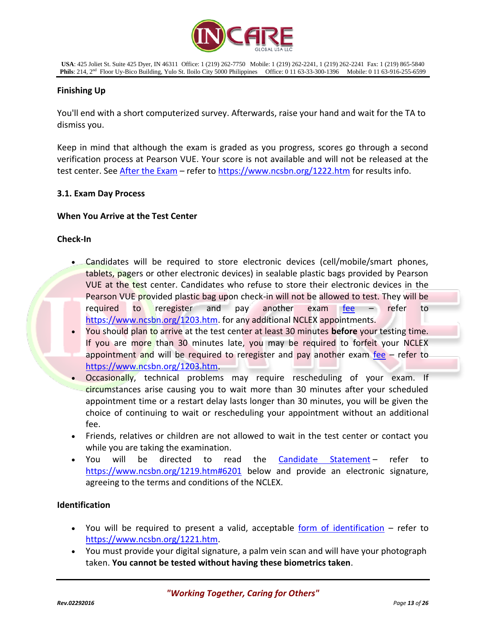

## **Finishing Up**

You'll end with a short computerized survey. Afterwards, raise your hand and wait for the TA to dismiss you.

Keep in mind that although the exam is graded as you progress, scores go through a second verification process at Pearson VUE. Your score is not available and will not be released at the test center. See After [the Exam](https://www.ncsbn.org/1222.htm) - refer to<https://www.ncsbn.org/1222.htm> for results info.

## **3.1. Exam Day Process**

## **When You Arrive at the Test Center**

## **Check-In**

- Candidates will be required to store electronic devices (cell/mobile/smart phones, tablets, pagers or other electronic devices) in sealable plastic bags provided by Pearson VUE at the test center. Candidates who refuse to store their electronic devices in the Pearson VUE provided plastic bag upon check-in will not be allowed to test. They will be required to reregister and pay another exam [fee](https://www.ncsbn.org/1203.htm) – refer to [https://www.ncsbn.org/1203.htm.](https://www.ncsbn.org/1203.htm) for any additional NCLEX appointments.
- You should plan to arrive at the test center at least 30 minutes **before** your testing time. If you are more than 30 minutes late, you may be required to forfeit your NCLEX appointment and will be required to reregister and pay another exam [fee](https://www.ncsbn.org/1203.htm)  $-$  refer to [https://www.ncsbn.org/1203.htm.](https://www.ncsbn.org/1203.htm)
- Occasionally, technical problems may require rescheduling of your exam. If circumstances arise causing you to wait more than 30 minutes after your scheduled appointment time or a restart delay lasts longer than 30 minutes, you will be given the choice of continuing to wait or rescheduling your appointment without an additional fee.
- Friends, relatives or children are not allowed to wait in the test center or contact you while you are taking the examination.
- You will be directed to read the [Candidate Statement](https://www.ncsbn.org/1219.htm#6201) refer to <https://www.ncsbn.org/1219.htm#6201> below and provide an electronic signature, agreeing to the terms and conditions of the NCLEX.

## **Identification**

- You will be required to present a valid, acceptable [form of identification](https://www.ncsbn.org/1221.htm) refer to [https://www.ncsbn.org/1221.htm.](https://www.ncsbn.org/1221.htm)
- You must provide your digital signature, a palm vein scan and will have your photograph taken. **You cannot be tested without having these biometrics taken**.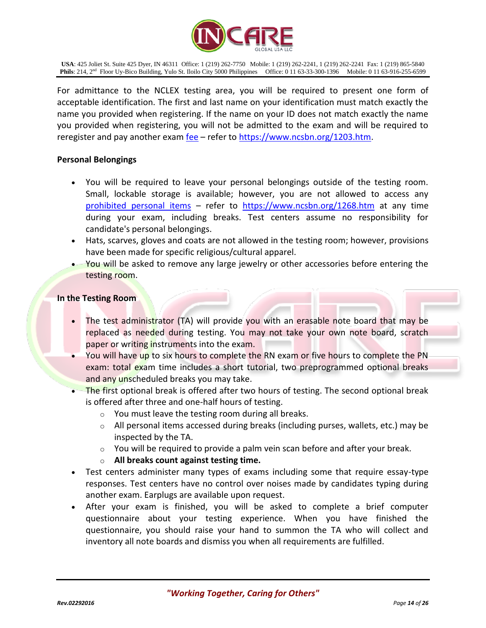

For admittance to the NCLEX testing area, you will be required to present one form of acceptable identification. The first and last name on your identification must match exactly the name you provided when registering. If the name on your ID does not match exactly the name you provided when registering, you will not be admitted to the exam and will be required to reregister and pay another exam [fee](https://www.ncsbn.org/1203.htm) – refer to [https://www.ncsbn.org/1203.htm.](https://www.ncsbn.org/1203.htm)

#### **Personal Belongings**

- You will be required to leave your personal belongings outside of the testing room. Small, lockable storage is available; however, you are not allowed to access any [prohibited personal items](https://www.ncsbn.org/1268.htm) – refer to <https://www.ncsbn.org/1268.htm> at any time during your exam, including breaks. Test centers assume no responsibility for candidate's personal belongings.
- Hats, scarves, gloves and coats are not allowed in the testing room; however, provisions have been made for specific religious/cultural apparel.
- You will be asked to remove any large jewelry or other accessories before entering the testing room.

#### **In the Testing Room**

- The test administrator (TA) will provide you with an erasable note board that may be replaced as needed during testing. You may not take your own note board, scratch paper or writing instruments into the exam.
- You will have up to six hours to complete the RN exam or five hours to complete the PN exam: total exam time includes a short tutorial, two preprogrammed optional breaks. and any unscheduled breaks you may take.
- The first optional break is offered after two hours of testing. The second optional break is offered after three and one-half hours of testing.
	- o You must leave the testing room during all breaks.
	- $\circ$  All personal items accessed during breaks (including purses, wallets, etc.) may be inspected by the TA.
	- $\circ$  You will be required to provide a palm vein scan before and after your break.
	- o **All breaks count against testing time.**
- Test centers administer many types of exams including some that require essay-type responses. Test centers have no control over noises made by candidates typing during another exam. Earplugs are available upon request.
- After your exam is finished, you will be asked to complete a brief computer questionnaire about your testing experience. When you have finished the questionnaire, you should raise your hand to summon the TA who will collect and inventory all note boards and dismiss you when all requirements are fulfilled.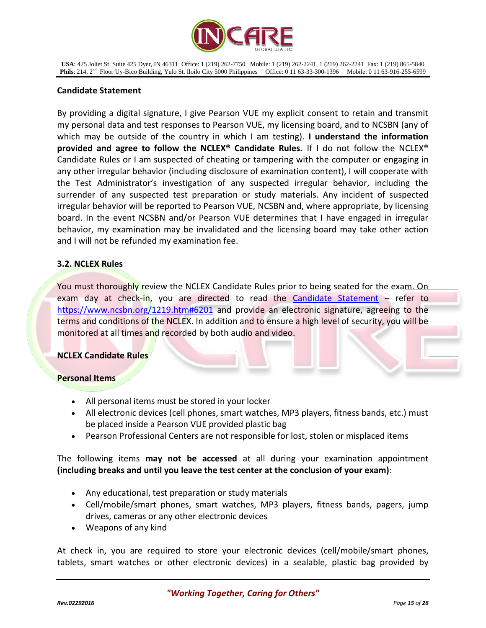

## **Candidate Statement**

By providing a digital signature, I give Pearson VUE my explicit consent to retain and transmit my personal data and test responses to Pearson VUE, my licensing board, and to NCSBN (any of which may be outside of the country in which I am testing). **I understand the information provided and agree to follow the NCLEX® Candidate Rules.** If I do not follow the NCLEX® Candidate Rules or I am suspected of cheating or tampering with the computer or engaging in any other irregular behavior (including disclosure of examination content), I will cooperate with the Test Administrator's investigation of any suspected irregular behavior, including the surrender of any suspected test preparation or study materials. Any incident of suspected irregular behavior will be reported to Pearson VUE, NCSBN and, where appropriate, by licensing board. In the event NCSBN and/or Pearson VUE determines that I have engaged in irregular behavior, my examination may be invalidated and the licensing board may take other action and I will not be refunded my examination fee.

## **3.2. NCLEX Rules**

You must thoroughly review the NCLEX Candidate Rules prior to being seated for the exam. On exam day at check-in, you are directed to read the [Candidate Statement](https://www.ncsbn.org/1219.htm#6201) - refer to <https://www.ncsbn.org/1219.htm#6201> and provide an electronic signature, agreeing to the terms and conditions of the NCLEX. In addition and to ensure a high level of security, you will be monitored at all times and recorded by both audio and video.

## **NCLEX Candidate Rules**

## **Personal Items**

- All personal items must be stored in your locker
- All electronic devices (cell phones, smart watches, MP3 players, fitness bands, etc.) must be placed inside a Pearson VUE provided plastic bag
- Pearson Professional Centers are not responsible for lost, stolen or misplaced items

## The following items **may not be accessed** at all during your examination appointment **(including breaks and until you leave the test center at the conclusion of your exam)**:

- Any educational, test preparation or study materials
- Cell/mobile/smart phones, smart watches, MP3 players, fitness bands, pagers, jump drives, cameras or any other electronic devices
- Weapons of any kind

At check in, you are required to store your electronic devices (cell/mobile/smart phones, tablets, smart watches or other electronic devices) in a sealable, plastic bag provided by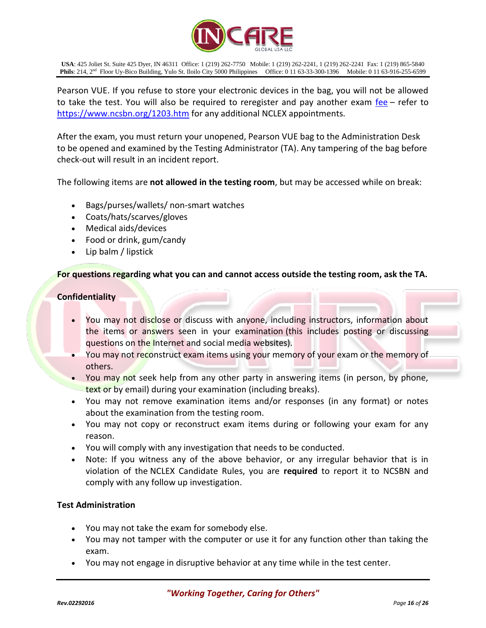

Pearson VUE. If you refuse to store your electronic devices in the bag, you will not be allowed to take the test. You will also be required to reregister and pay another exam [fee](https://www.ncsbn.org/1203.htm) – refer to <https://www.ncsbn.org/1203.htm> for any additional NCLEX appointments.

After the exam, you must return your unopened, Pearson VUE bag to the Administration Desk to be opened and examined by the Testing Administrator (TA). Any tampering of the bag before check-out will result in an incident report.

The following items are **not allowed in the testing room**, but may be accessed while on break:

- Bags/purses/wallets/ non-smart watches
- Coats/hats/scarves/gloves
- Medical aids/devices
- Food or drink, gum/candy
- Lip balm / lipstick

## **For questions regarding what you can and cannot access outside the testing room, ask the TA.**

## **Confidentiality**

- You may not disclose or discuss with anyone, including instructors, information about the items or answers seen in your examination (this includes posting or discussing questions on the Internet and social media websites).
- You may not reconstruct exam items using your memory of your exam or the memory of others.
- You may not seek help from any other party in answering items (in person, by phone, text or by email) during your examination (including breaks).
- You may not remove examination items and/or responses (in any format) or notes about the examination from the testing room.
- You may not copy or reconstruct exam items during or following your exam for any reason.
- You will comply with any investigation that needs to be conducted.
- Note: If you witness any of the above behavior, or any irregular behavior that is in violation of the NCLEX Candidate Rules, you are **required** to report it to NCSBN and comply with any follow up investigation.

## **Test Administration**

- You may not take the exam for somebody else.
- You may not tamper with the computer or use it for any function other than taking the exam.
- You may not engage in disruptive behavior at any time while in the test center.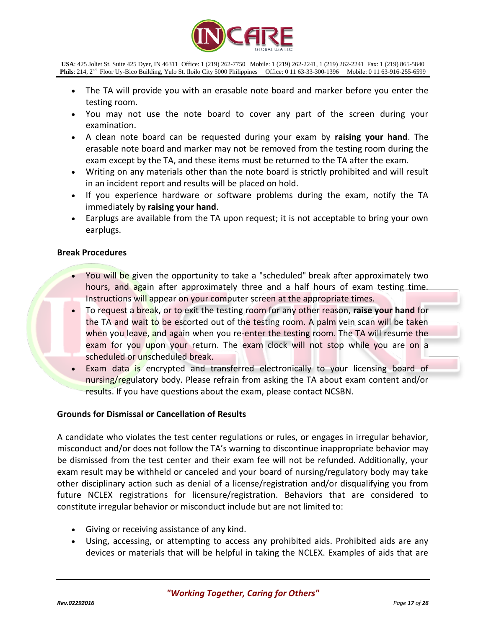

- The TA will provide you with an erasable note board and marker before you enter the testing room.
- You may not use the note board to cover any part of the screen during your examination.
- A clean note board can be requested during your exam by **raising your hand**. The erasable note board and marker may not be removed from the testing room during the exam except by the TA, and these items must be returned to the TA after the exam.
- Writing on any materials other than the note board is strictly prohibited and will result in an incident report and results will be placed on hold.
- If you experience hardware or software problems during the exam, notify the TA immediately by **raising your hand**.
- Earplugs are available from the TA upon request; it is not acceptable to bring your own earplugs.

## **Break Procedures**

- You will be given the opportunity to take a "scheduled" break after approximately two hours, and again after approximately three and a half hours of exam testing time. Instructions will appear on your computer screen at the appropriate times.
- To request a break, or to exit the testing room for any other reason, **raise your hand** for the TA and wait to be escorted out of the testing room. A palm vein scan will be taken when you leave, and again when you re-enter the testing room. The TA will resume the exam for you upon your return. The exam clock will not stop while you are on a scheduled or unscheduled break.
- Exam data is encrypted and transferred electronically to your licensing board of nursing/regulatory body. Please refrain from asking the TA about exam content and/or results. If you have questions about the exam, please contact NCSBN.

## **Grounds for Dismissal or Cancellation of Results**

A candidate who violates the test center regulations or rules, or engages in irregular behavior, misconduct and/or does not follow the TA's warning to discontinue inappropriate behavior may be dismissed from the test center and their exam fee will not be refunded. Additionally, your exam result may be withheld or canceled and your board of nursing/regulatory body may take other disciplinary action such as denial of a license/registration and/or disqualifying you from future NCLEX registrations for licensure/registration. Behaviors that are considered to constitute irregular behavior or misconduct include but are not limited to:

- Giving or receiving assistance of any kind.
- Using, accessing, or attempting to access any prohibited aids. Prohibited aids are any devices or materials that will be helpful in taking the NCLEX. Examples of aids that are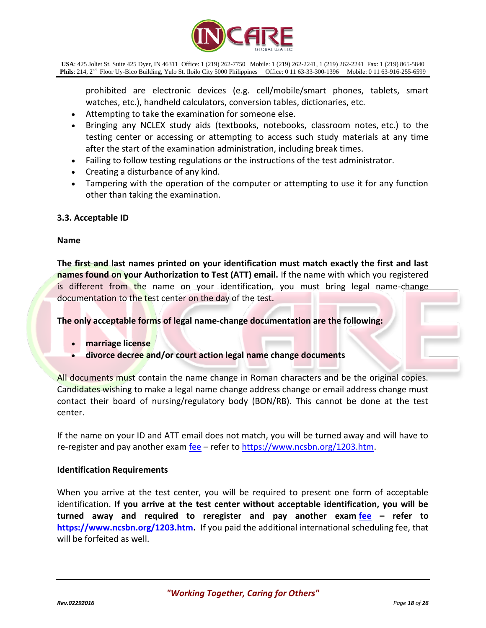

prohibited are electronic devices (e.g. cell/mobile/smart phones, tablets, smart watches, etc.), handheld calculators, conversion tables, dictionaries, etc.

- Attempting to take the examination for someone else.
- Bringing any NCLEX study aids (textbooks, notebooks, classroom notes, etc.) to the testing center or accessing or attempting to access such study materials at any time after the start of the examination administration, including break times.
- Failing to follow testing regulations or the instructions of the test administrator.
- Creating a disturbance of any kind.
- Tampering with the operation of the computer or attempting to use it for any function other than taking the examination.

## **3.3. Acceptable ID**

#### **Name**

**The first and last names printed on your identification must match exactly the first and last names found on your Authorization to Test (ATT) email.** If the name with which you registered is different from the name on your identification, you must bring legal name-change documentation to the test center on the day of the test.

**The only acceptable forms of legal name-change documentation are the following:**

- **marriage license**
- **divorce decree and/or court action legal name change documents**

All documents must contain the name change in Roman characters and be the original copies. Candidates wishing to make a legal name change address change or email address change must contact their board of nursing/regulatory body (BON/RB). This cannot be done at the test center.

If the name on your ID and ATT email does not match, you will be turned away and will have to re-register and pay another exam  $fee – refer to <https://www.ncsbn.org/1203.htm>.$  $fee – refer to <https://www.ncsbn.org/1203.htm>.$  $fee – refer to <https://www.ncsbn.org/1203.htm>.$ </u>

#### **Identification Requirements**

When you arrive at the test center, you will be required to present one form of acceptable identification. **If you arrive at the test center without acceptable identification, you will be turned away and required to reregister and pay another exam [fee](https://www.ncsbn.org/1203.htm) – refer to [https://www.ncsbn.org/1203.htm.](https://www.ncsbn.org/1203.htm)** If you paid the additional international scheduling fee, that will be forfeited as well.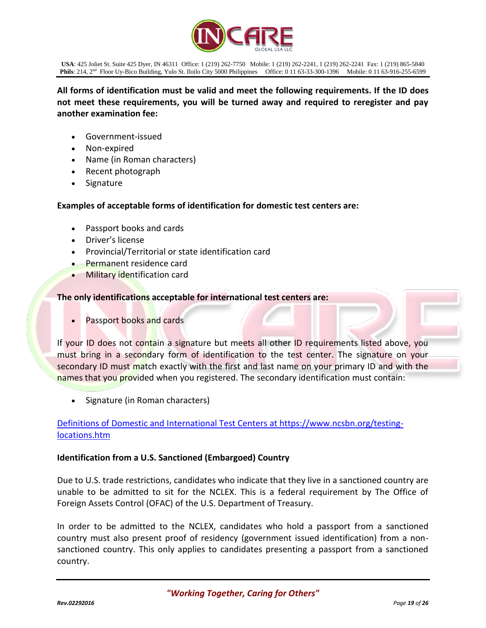

**All forms of identification must be valid and meet the following requirements. If the ID does not meet these requirements, you will be turned away and required to reregister and pay another examination fee:**

- Government-issued
- Non-expired
- Name (in Roman characters)
- Recent photograph
- Signature

## **Examples of acceptable forms of identification for domestic test centers are:**

- Passport books and cards
- Driver's license
- Provincial/Territorial or state identification card
- Permanent residence card
- Military identification card

#### **The only identifications acceptable for international test centers are:**

Passport books and cards

If your ID does not contain a signature but meets all other ID requirements listed above, you must bring in a secondary form of identification to the test center. The signature on your secondary ID must match exactly with the first and last name on your primary ID and with the names that you provided when you registered. The secondary identification must contain:

Signature (in Roman characters)

## [Definitions of Domestic and International Test Centers](https://www.ncsbn.org/testing-locations.htm) at [https://www.ncsbn.org/testing](https://www.ncsbn.org/testing-locations.htm)[locations.htm](https://www.ncsbn.org/testing-locations.htm)

## **Identification from a U.S. Sanctioned (Embargoed) Country**

Due to U.S. trade restrictions, candidates who indicate that they live in a sanctioned country are unable to be admitted to sit for the NCLEX. This is a federal requirement by The Office of Foreign Assets Control (OFAC) of the U.S. Department of Treasury.

In order to be admitted to the NCLEX, candidates who hold a passport from a sanctioned country must also present proof of residency (government issued identification) from a nonsanctioned country. This only applies to candidates presenting a passport from a sanctioned country.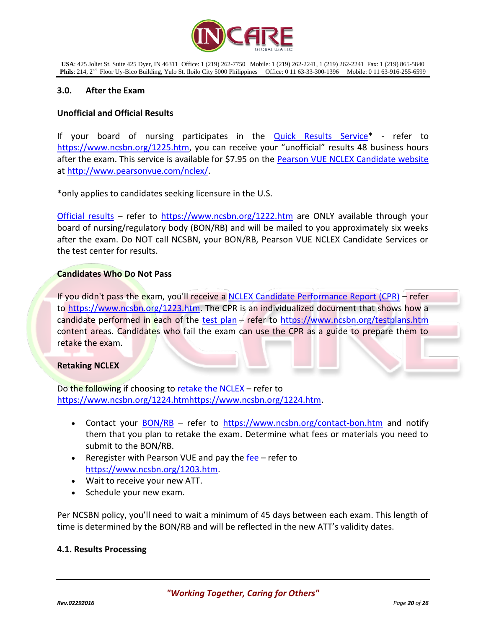

#### **3.0. After the Exam**

#### **Unofficial and Official Results**

If your board of nursing participates in the [Quick Results Service\\*](https://www.ncsbn.org/1225.htm) - refer to <https://www.ncsbn.org/1225.htm>, you can receive your "unofficial" results 48 business hours after the exam. This service is available for \$7.95 on the **Pearson VUE NCLEX Candidate website** at [http://www.pearsonvue.com/nclex/.](http://www.pearsonvue.com/nclex/)

\*only applies to candidates seeking licensure in the U.S.

[Official results](https://www.ncsbn.org/1222.htm) – refer to <https://www.ncsbn.org/1222.htm> are ONLY available through your board of nursing/regulatory body (BON/RB) and will be mailed to you approximately six weeks after the exam. Do NOT call NCSBN, your BON/RB, Pearson VUE NCLEX Candidate Services or the test center for results.

#### **Candidates Who Do Not Pass**

If you didn't pass the exam, you'll receive a [NCLEX Candidate Performance Report \(CPR\)](https://www.ncsbn.org/1223.htm) – refer to [https://www.ncsbn.org/1223.htm.](https://www.ncsbn.org/1223.htm) The CPR is an individualized document that shows how a candidate performed in each of the [test plan](https://www.ncsbn.org/testplans.htm) – refer to<https://www.ncsbn.org/testplans.htm> content areas. Candidates who fail the exam can use the CPR as a guide to prepare them to retake the exam.

#### **Retaking NCLEX**

Do the following if choosing to [retake the NCLEX](https://www.ncsbn.org/1224.htm) – refer to [https://www.ncsbn.org/1224.htmhttps://www.ncsbn.org/1224.htm.](https://www.ncsbn.org/1224.htmhttps:/www.ncsbn.org/1224.htm)

- Contact your **[BON/RB](https://www.ncsbn.org/contact-bon.htm)** refer to <https://www.ncsbn.org/contact-bon.htm> and notify them that you plan to retake the exam. Determine what fees or materials you need to submit to the BON/RB.
- Reregister with Pearson VUE and pay the [fee](https://www.ncsbn.org/1203.htm) refer to [https://www.ncsbn.org/1203.htm.](https://www.ncsbn.org/1203.htm)
- Wait to receive your new ATT.
- Schedule your new exam.

Per NCSBN policy, you'll need to wait a minimum of 45 days between each exam. This length of time is determined by the BON/RB and will be reflected in the new ATT's validity dates.

## **4.1. Results Processing**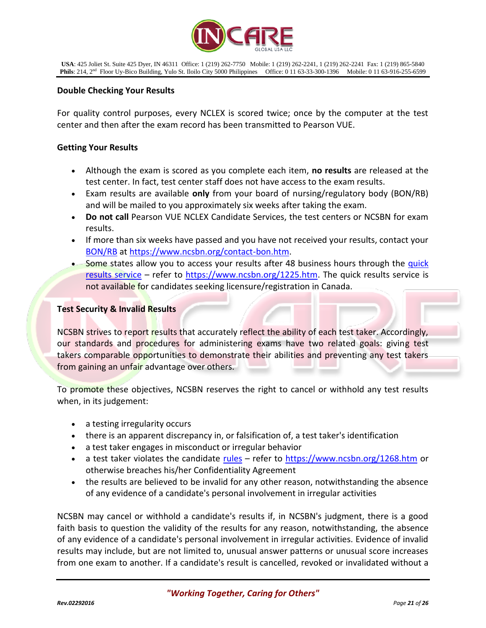

## **Double Checking Your Results**

For quality control purposes, every NCLEX is scored twice; once by the computer at the test center and then after the exam record has been transmitted to Pearson VUE.

#### **Getting Your Results**

- Although the exam is scored as you complete each item, **no results** are released at the test center. In fact, test center staff does not have access to the exam results.
- Exam results are available **only** from your board of nursing/regulatory body (BON/RB) and will be mailed to you approximately six weeks after taking the exam.
- **Do not call** Pearson VUE NCLEX Candidate Services, the test centers or NCSBN for exam results.
- If more than six weeks have passed and you have not received your results, contact your [BON/RB](https://www.ncsbn.org/contact-bon.htm) at [https://www.ncsbn.org/contact-bon.htm.](https://www.ncsbn.org/contact-bon.htm)
- Some states allow you to access your results after 48 business hours through the quick [results service](https://www.ncsbn.org/1225.htm) – refer to [https://www.ncsbn.org/1225.htm.](https://www.ncsbn.org/1225.htm) The quick results service is not available for candidates seeking licensure/registration in Canada.

#### **Test Security & Invalid Results**

NCSBN strives to report results that accurately reflect the ability of each test taker. Accordingly, our standards and procedures for administering exams have two related goals: giving test takers comparable opportunities to demonstrate their abilities and preventing any test takers from gaining an unfair advantage over others.

To promote these objectives, NCSBN reserves the right to cancel or withhold any test results when, in its judgement:

- a testing irregularity occurs
- there is an apparent discrepancy in, or falsification of, a test taker's identification
- a test taker engages in misconduct or irregular behavior
- a test taker violates the candidate [rules](https://www.ncsbn.org/1268.htm) refer to<https://www.ncsbn.org/1268.htm> or otherwise breaches his/her Confidentiality Agreement
- the results are believed to be invalid for any other reason, notwithstanding the absence of any evidence of a candidate's personal involvement in irregular activities

NCSBN may cancel or withhold a candidate's results if, in NCSBN's judgment, there is a good faith basis to question the validity of the results for any reason, notwithstanding, the absence of any evidence of a candidate's personal involvement in irregular activities. Evidence of invalid results may include, but are not limited to, unusual answer patterns or unusual score increases from one exam to another. If a candidate's result is cancelled, revoked or invalidated without a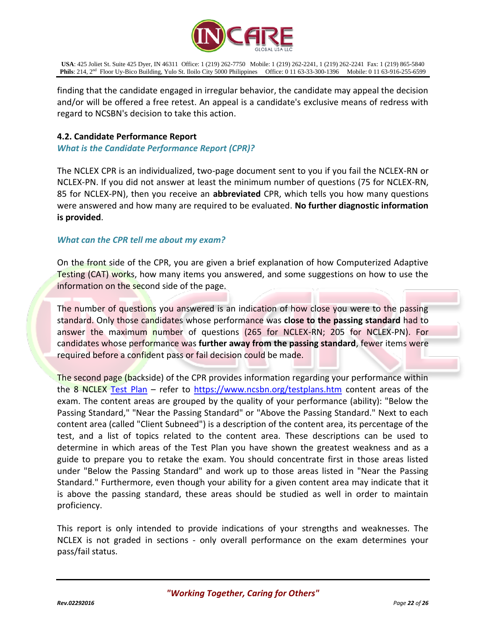

finding that the candidate engaged in irregular behavior, the candidate may appeal the decision and/or will be offered a free retest. An appeal is a candidate's exclusive means of redress with regard to NCSBN's decision to take this action.

## **4.2. Candidate Performance Report**

*What is the Candidate Performance Report (CPR)?*

The NCLEX CPR is an individualized, two-page document sent to you if you fail the NCLEX-RN or NCLEX-PN. If you did not answer at least the minimum number of questions (75 for NCLEX-RN, 85 for NCLEX-PN), then you receive an **abbreviated** CPR, which tells you how many questions were answered and how many are required to be evaluated. **No further diagnostic information is provided**.

## *What can the CPR tell me about my exam?*

On the front side of the CPR, you are given a brief explanation of how Computerized Adaptive Testing (CAT) works, how many items you answered, and some suggestions on how to use the information on the second side of the page.

The number of questions you answered is an indication of how close you were to the passing standard. Only those candidates whose performance was **close to the passing standard** had to answer the maximum number of questions (265 for NCLEX-RN; 205 for NCLEX-PN). For candidates whose performance was **further away from the passing standard**, fewer items were required before a confident pass or fail decision could be made.

The second page (backside) of the CPR provides information regarding your performance within the 8 NCLEX [Test Plan](https://www.ncsbn.org/testplans.htm) – refer to<https://www.ncsbn.org/testplans.htm> content areas of the exam. The content areas are grouped by the quality of your performance (ability): "Below the Passing Standard," "Near the Passing Standard" or "Above the Passing Standard." Next to each content area (called "Client Subneed") is a description of the content area, its percentage of the test, and a list of topics related to the content area. These descriptions can be used to determine in which areas of the Test Plan you have shown the greatest weakness and as a guide to prepare you to retake the exam. You should concentrate first in those areas listed under "Below the Passing Standard" and work up to those areas listed in "Near the Passing Standard." Furthermore, even though your ability for a given content area may indicate that it is above the passing standard, these areas should be studied as well in order to maintain proficiency.

This report is only intended to provide indications of your strengths and weaknesses. The NCLEX is not graded in sections - only overall performance on the exam determines your pass/fail status.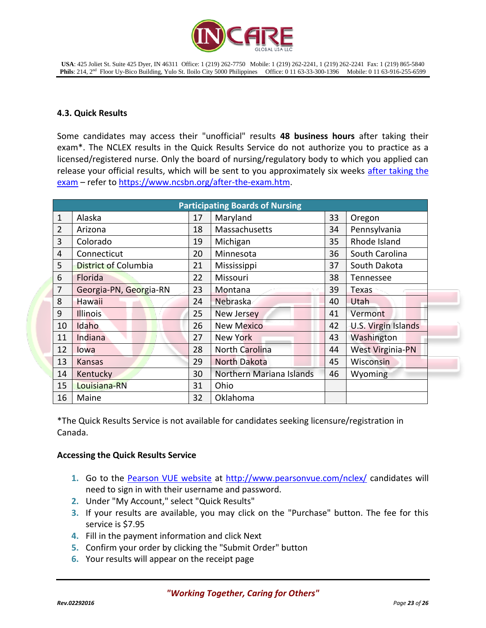

## **4.3. Quick Results**

Some candidates may access their "unofficial" results **48 business hours** after taking their exam\*. The NCLEX results in the Quick Results Service do not authorize you to practice as a licensed/registered nurse. Only the board of nursing/regulatory body to which you applied can release your official results, which will be sent to you approximately six weeks after taking the [exam](https://www.ncsbn.org/after-the-exam.htm) – refer t[o https://www.ncsbn.org/after-the-exam.htm.](https://www.ncsbn.org/after-the-exam.htm)

| <b>Participating Boards of Nursing</b> |                             |    |                          |    |                         |  |  |
|----------------------------------------|-----------------------------|----|--------------------------|----|-------------------------|--|--|
| $\mathbf{1}$                           | Alaska                      | 17 | Maryland                 | 33 | Oregon                  |  |  |
| $\overline{2}$                         | Arizona                     | 18 | Massachusetts            | 34 | Pennsylvania            |  |  |
| 3                                      | Colorado                    | 19 | Michigan                 | 35 | Rhode Island            |  |  |
| 4                                      | Connecticut                 | 20 | Minnesota                | 36 | South Carolina          |  |  |
| 5                                      | <b>District of Columbia</b> | 21 | Mississippi              | 37 | South Dakota            |  |  |
| 6                                      | Florida                     | 22 | Missouri                 | 38 | Tennessee               |  |  |
| $\overline{7}$                         | Georgia-PN, Georgia-RN      | 23 | Montana                  | 39 | <b>Texas</b>            |  |  |
| 8                                      | <b>Hawaii</b>               | 24 | Nebraska                 | 40 | Utah                    |  |  |
| 9                                      | <b>Illinois</b>             | 25 | <b>New Jersey</b>        | 41 | Vermont                 |  |  |
| 10                                     | Idaho                       | 26 | <b>New Mexico</b>        | 42 | U.S. Virgin Islands     |  |  |
| 11                                     | Indiana                     | 27 | <b>New York</b>          | 43 | Washington              |  |  |
| 12                                     | lowa                        | 28 | North Carolina           | 44 | <b>West Virginia-PN</b> |  |  |
| 13                                     | Kansas                      | 29 | <b>North Dakota</b>      | 45 | Wisconsin               |  |  |
| 14                                     | Kentucky                    | 30 | Northern Mariana Islands | 46 | Wyoming                 |  |  |
| 15                                     | Louisiana-RN                | 31 | Ohio                     |    |                         |  |  |
| 16                                     | Maine                       | 32 | Oklahoma                 |    |                         |  |  |

\*The Quick Results Service is not available for candidates seeking licensure/registration in Canada.

## **Accessing the Quick Results Service**

- 1. Go to the [Pearson VUE website](http://www.pearsonvue.com/nclex/) at<http://www.pearsonvue.com/nclex/> candidates will need to sign in with their username and password.
- **2.** Under "My Account," select "Quick Results"
- **3.** If your results are available, you may click on the "Purchase" button. The fee for this service is \$7.95
- **4.** Fill in the payment information and click Next
- **5.** Confirm your order by clicking the "Submit Order" button
- **6.** Your results will appear on the receipt page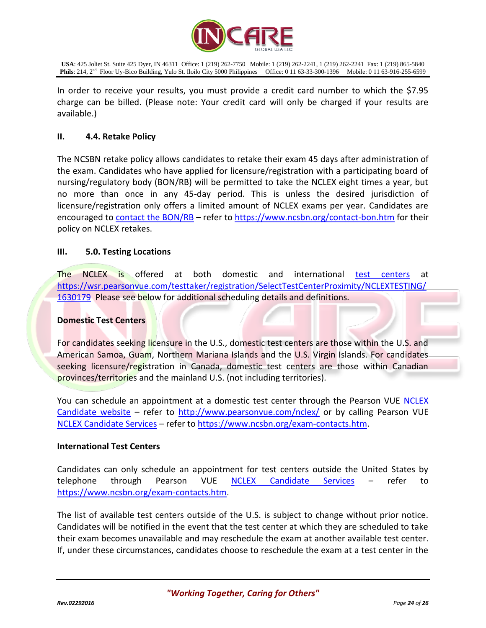

In order to receive your results, you must provide a credit card number to which the \$7.95 charge can be billed. (Please note: Your credit card will only be charged if your results are available.)

## **II. 4.4. Retake Policy**

The NCSBN retake policy allows candidates to retake their exam 45 days after administration of the exam. Candidates who have applied for licensure/registration with a participating board of nursing/regulatory body (BON/RB) will be permitted to take the NCLEX eight times a year, but no more than once in any 45-day period. This is unless the desired jurisdiction of licensure/registration only offers a limited amount of NCLEX exams per year. Candidates are encouraged to [contact the BON/RB](https://www.ncsbn.org/contact-bon.htm) - refer to<https://www.ncsbn.org/contact-bon.htm> for their policy on NCLEX retakes.

## **III. 5.0. Testing Locations**

The NCLEX is offered at both domestic and international [test centers](http://www.pearsonvue.com/nclex/locate) at [https://wsr.pearsonvue.com/testtaker/registration/SelectTestCenterProximity/NCLEXTESTING/](https://wsr.pearsonvue.com/testtaker/registration/SelectTestCenterProximity/NCLEXTESTING/1630179) [1630179](https://wsr.pearsonvue.com/testtaker/registration/SelectTestCenterProximity/NCLEXTESTING/1630179) Please see below for additional scheduling details and definitions.

## **Domestic Test Centers**

For candidates seeking licensure in the U.S., domestic test centers are those within the U.S. and American Samoa, Guam, Northern Mariana Islands and the U.S. Virgin Islands. For candidates seeking licensure/registration in Canada, domestic test centers are those within Canadian provinces/territories and the mainland U.S. (not including territories).

You can schedule an appointment at a domestic test center through the Pearson VUE NCLEX [Candidate website](http://www.pearsonvue.com/nclex/) – refer to<http://www.pearsonvue.com/nclex/> or by calling Pearson VUE [NCLEX Candidate Services](https://www.ncsbn.org/exam-contacts.htm) – refer to [https://www.ncsbn.org/exam-contacts.htm.](https://www.ncsbn.org/exam-contacts.htm)

## **International Test Centers**

Candidates can only schedule an appointment for test centers outside the United States by telephone through Pearson VUE [NCLEX Candidate Services](https://www.ncsbn.org/exam-contacts.htm) – refer to [https://www.ncsbn.org/exam-contacts.htm.](https://www.ncsbn.org/exam-contacts.htm)

The list of available test centers outside of the U.S. is subject to change without prior notice. Candidates will be notified in the event that the test center at which they are scheduled to take their exam becomes unavailable and may reschedule the exam at another available test center. If, under these circumstances, candidates choose to reschedule the exam at a test center in the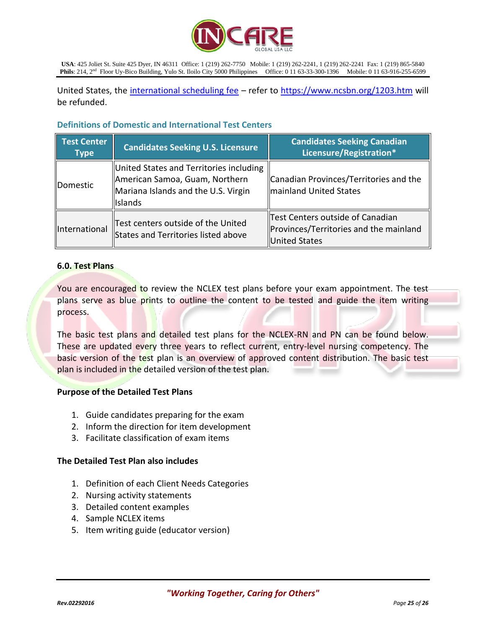

United States, the [international scheduling fee](https://www.ncsbn.org/1203.htm) – refer to<https://www.ncsbn.org/1203.htm> will be refunded.

## **Definitions of Domestic and International Test Centers**

| <b>Test Center</b><br><b>Type</b> | <b>Candidates Seeking U.S. Licensure</b>                                                                                           | <b>Candidates Seeking Canadian</b><br>Licensure/Registration*                               |
|-----------------------------------|------------------------------------------------------------------------------------------------------------------------------------|---------------------------------------------------------------------------------------------|
| <b>Domestic</b>                   | United States and Territories including<br>American Samoa, Guam, Northern<br>Mariana Islands and the U.S. Virgin<br><b>Islands</b> | Canadian Provinces/Territories and the<br>mainland United States                            |
| International                     | Test centers outside of the United<br>States and Territories listed above                                                          | Test Centers outside of Canadian<br>Provinces/Territories and the mainland<br>United States |

## **6.0. Test Plans**

You are encouraged to review the NCLEX test plans before your exam appointment. The test plans serve as blue prints to outline the content to be tested and guide the item writing process.

The basic test plans and detailed test plans for the NCLEX-RN and PN can be found below. These are updated every three years to reflect current, entry-level nursing competency. The basic version of the test plan is an overview of approved content distribution. The basic test plan is included in the detailed version of the test plan.

## **Purpose of the Detailed Test Plans**

- 1. Guide candidates preparing for the exam
- 2. Inform the direction for item development
- 3. Facilitate classification of exam items

#### **The Detailed Test Plan also includes**

- 1. Definition of each Client Needs Categories
- 2. Nursing activity statements
- 3. Detailed content examples
- 4. Sample NCLEX items
- 5. Item writing guide (educator version)